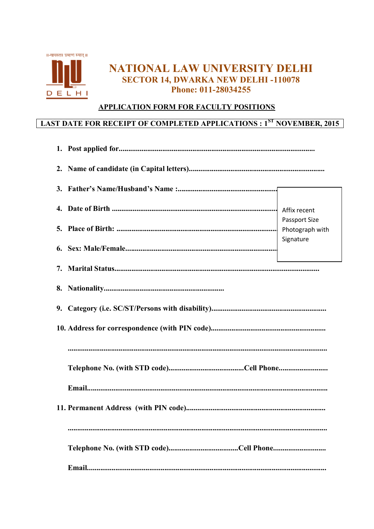

# NATIONAL LAW UNIVERSITY DELHI **SECTOR 14. DWARKA NEW DELHI-110078** Phone: 011-28034255

# APPLICATION FORM FOR FACULTY POSITIONS

# **LAST DATE FOR RECEIPT OF COMPLETED APPLICATIONS : 1ST NOVEMBER, 2015**

|  | <b>Passport Size</b><br>Photograph with |  |  |  |
|--|-----------------------------------------|--|--|--|
|  | Signature                               |  |  |  |
|  |                                         |  |  |  |
|  |                                         |  |  |  |
|  |                                         |  |  |  |
|  |                                         |  |  |  |
|  |                                         |  |  |  |
|  |                                         |  |  |  |
|  |                                         |  |  |  |
|  |                                         |  |  |  |
|  |                                         |  |  |  |
|  |                                         |  |  |  |
|  |                                         |  |  |  |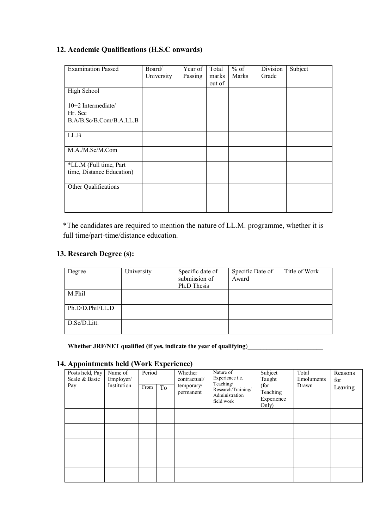| <b>Examination Passed</b> | Board/     | Year of | Total  | $%$ of       | Division | Subject |
|---------------------------|------------|---------|--------|--------------|----------|---------|
|                           | University | Passing | marks  | <b>Marks</b> | Grade    |         |
|                           |            |         |        |              |          |         |
|                           |            |         | out of |              |          |         |
| High School               |            |         |        |              |          |         |
|                           |            |         |        |              |          |         |
| $10+2$ Intermediate/      |            |         |        |              |          |         |
| Hr. Sec                   |            |         |        |              |          |         |
| B.A/B.Sc/B.Com/B.A.LL.B   |            |         |        |              |          |         |
|                           |            |         |        |              |          |         |
| LL.B                      |            |         |        |              |          |         |
|                           |            |         |        |              |          |         |
| M.A./M.Sc/M.Com           |            |         |        |              |          |         |
|                           |            |         |        |              |          |         |
| *LL.M (Full time, Part    |            |         |        |              |          |         |
| time, Distance Education) |            |         |        |              |          |         |
|                           |            |         |        |              |          |         |
| Other Qualifications      |            |         |        |              |          |         |
|                           |            |         |        |              |          |         |
|                           |            |         |        |              |          |         |
|                           |            |         |        |              |          |         |

# **12. Academic Qualifications (H.S.C onwards)**

\*The candidates are required to mention the nature of LL.M. programme, whether it is full time/part-time/distance education.

# **13. Research Degree (s):**

| Degree           | University | Specific date of<br>submission of<br>Ph.D Thesis | Specific Date of<br>Award | Title of Work |
|------------------|------------|--------------------------------------------------|---------------------------|---------------|
| M.Phil           |            |                                                  |                           |               |
| Ph.D/D.Phil/LL.D |            |                                                  |                           |               |
| D.Sc/D.Litt.     |            |                                                  |                           |               |

Whether JRF/NET qualified (if yes, indicate the year of qualifying)\_\_\_\_\_\_\_\_\_\_\_\_\_

# **14. Appointments held (Work Experience)**

| . .                                     |                                     |                |    |                                                    |                                                                                                 |                                                              |                              |                           |
|-----------------------------------------|-------------------------------------|----------------|----|----------------------------------------------------|-------------------------------------------------------------------------------------------------|--------------------------------------------------------------|------------------------------|---------------------------|
| Posts held, Pay<br>Scale & Basic<br>Pay | Name of<br>Employer/<br>Institution | Period<br>From | To | Whether<br>contractual/<br>temporary/<br>permanent | Nature of<br>Experience i.e.<br>Teaching/<br>Research/Training/<br>Administration<br>field work | Subject<br>Taught<br>(for<br>Teaching<br>Experience<br>Only) | Total<br>Emoluments<br>Drawn | Reasons<br>for<br>Leaving |
|                                         |                                     |                |    |                                                    |                                                                                                 |                                                              |                              |                           |
|                                         |                                     |                |    |                                                    |                                                                                                 |                                                              |                              |                           |
|                                         |                                     |                |    |                                                    |                                                                                                 |                                                              |                              |                           |
|                                         |                                     |                |    |                                                    |                                                                                                 |                                                              |                              |                           |
|                                         |                                     |                |    |                                                    |                                                                                                 |                                                              |                              |                           |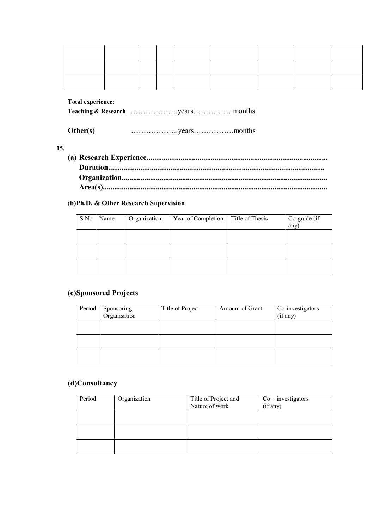**Total experience**:

**Teaching & Research** ……………….years…………….months

| Other(s) |  |  |
|----------|--|--|
|----------|--|--|

### **15.**

**(a) Research Experience................................................................................................ Duration................................................................................................................... Organization............................................................................................................. Area(s).......................................................................................................................** 

# (**b)Ph.D. & Other Research Supervision**

| S.No | Name | Organization | Year of Completion | Title of Thesis | Co-guide $(i\bar{f})$<br>any) |
|------|------|--------------|--------------------|-----------------|-------------------------------|
|      |      |              |                    |                 |                               |
|      |      |              |                    |                 |                               |
|      |      |              |                    |                 |                               |

### **(c)Sponsored Projects**

| Period | Sponsoring<br>Organisation | Title of Project | Amount of Grant | Co-investigators<br>(if any) |
|--------|----------------------------|------------------|-----------------|------------------------------|
|        |                            |                  |                 |                              |
|        |                            |                  |                 |                              |
|        |                            |                  |                 |                              |

# **(d)Consultancy**

| Period | Organization | Title of Project and | $Co$ – investigators |
|--------|--------------|----------------------|----------------------|
|        |              | Nature of work       | (if any)             |
|        |              |                      |                      |
|        |              |                      |                      |
|        |              |                      |                      |
|        |              |                      |                      |
|        |              |                      |                      |
|        |              |                      |                      |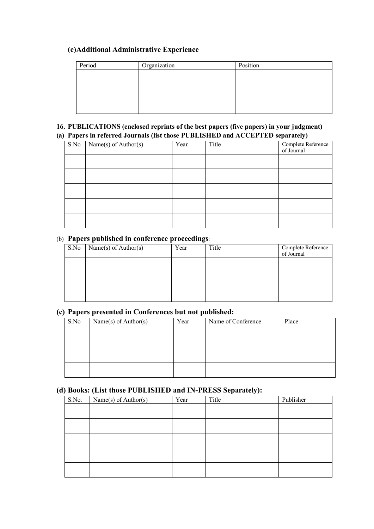# **(e)Additional Administrative Experience**

| Period | Organization | Position |
|--------|--------------|----------|
|        |              |          |
|        |              |          |
|        |              |          |
|        |              |          |
|        |              |          |
|        |              |          |

### **16. PUBLICATIONS (enclosed reprints of the best papers (five papers) in your judgment) (a) Papers in referred Journals (list those PUBLISHED and ACCEPTED separately)**

|      | Tapers in Ferrica boarnais (not those Februarilli and Acceli Tip separately) |      |       |                                  |  |  |  |
|------|------------------------------------------------------------------------------|------|-------|----------------------------------|--|--|--|
| S.No | Name(s) of Author(s)                                                         | Year | Title | Complete Reference<br>of Journal |  |  |  |
|      |                                                                              |      |       |                                  |  |  |  |
|      |                                                                              |      |       |                                  |  |  |  |
|      |                                                                              |      |       |                                  |  |  |  |
|      |                                                                              |      |       |                                  |  |  |  |
|      |                                                                              |      |       |                                  |  |  |  |

# (b) **Papers published in conference proceedings**:

| S.No | Name(s) of $Author(s)$ | Year | Title | Complete Reference<br>of Journal |
|------|------------------------|------|-------|----------------------------------|
|      |                        |      |       |                                  |
|      |                        |      |       |                                  |
|      |                        |      |       |                                  |

### **(c) Papers presented in Conferences but not published:**

| S.No | Name(s) of Author(s) | Year | Name of Conference | Place |
|------|----------------------|------|--------------------|-------|
|      |                      |      |                    |       |
|      |                      |      |                    |       |
|      |                      |      |                    |       |

# **(d) Books: (List those PUBLISHED and IN-PRESS Separately):**

| $\overline{\phantom{a}}$ | $\ddot{\phantom{1}}$       |      | $\overline{\phantom{a}}$<br>$\cdot$ |           |
|--------------------------|----------------------------|------|-------------------------------------|-----------|
| S.No.                    | Name $(s)$ of Author $(s)$ | Year | Title                               | Publisher |
|                          |                            |      |                                     |           |
|                          |                            |      |                                     |           |
|                          |                            |      |                                     |           |
|                          |                            |      |                                     |           |
|                          |                            |      |                                     |           |
|                          |                            |      |                                     |           |
|                          |                            |      |                                     |           |
|                          |                            |      |                                     |           |
|                          |                            |      |                                     |           |
|                          |                            |      |                                     |           |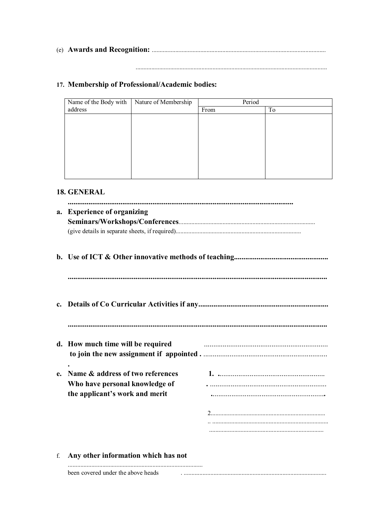# 17. Membership of Professional/Academic bodies:

| Name of the Body with | Nature of Membership | Period |    |
|-----------------------|----------------------|--------|----|
| address               |                      | From   | To |
|                       |                      |        |    |
|                       |                      |        |    |
|                       |                      |        |    |
|                       |                      |        |    |
|                       |                      |        |    |
|                       |                      |        |    |
|                       |                      |        |    |
|                       |                      |        |    |
|                       |                      |        |    |

# 18. GENERAL

|    | a. Experience of organizing                                                                          |  |
|----|------------------------------------------------------------------------------------------------------|--|
|    |                                                                                                      |  |
|    |                                                                                                      |  |
|    | d. How much time will be required                                                                    |  |
| e. | Name & address of two references<br>Who have personal knowledge of<br>the applicant's work and merit |  |
|    |                                                                                                      |  |
| f. | Any other information which has not                                                                  |  |

been covered under the above heads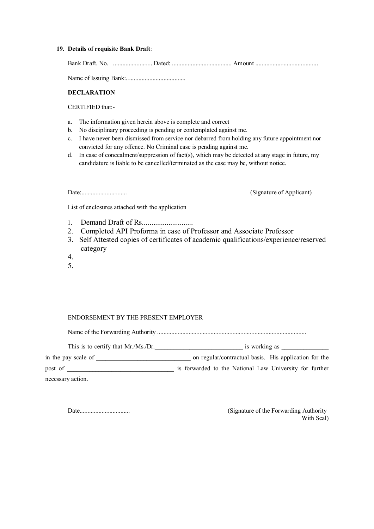#### **19. Details of requisite Bank Draft**:

Bank Draft. No. ......................... Dated: ...................................... Amount ........................................

Name of Issuing Bank:......................................

#### **DECLARATION**

CERTIFIED that:-

- a. The information given herein above is complete and correct
- b. No disciplinary proceeding is pending or contemplated against me.
- c. I have never been dismissed from service nor debarred from holding any future appointment nor convicted for any offence. No Criminal case is pending against me.
- d. In case of concealment/suppression of fact(s), which may be detected at any stage in future, my candidature is liable to be cancelled/terminated as the case may be, without notice.

Date:............................. (Signature of Applicant)

List of enclosures attached with the application

- 1. Demand Draft of Rs...........................
- 2. Completed API Proforma in case of Professor and Associate Professor
- 3. Self Attested copies of certificates of academic qualifications/experience/reserved category
- 4.
- 5.

#### ENDORSEMENT BY THE PRESENT EMPLOYER

Name of the Forwarding Authority ...............................................................................................

This is to certify that Mr./Ms./Dr.\_\_\_\_\_\_\_\_\_\_\_\_\_\_\_\_\_\_\_\_\_\_\_\_\_\_\_\_ is working as \_\_\_\_\_\_\_\_\_\_\_\_\_\_\_

in the pay scale of  $\Box$  on regular/contractual basis. His application for the post of post of  $\blacksquare$  is forwarded to the National Law University for further necessary action.

Date................................ (Signature of the Forwarding Authority With Seal)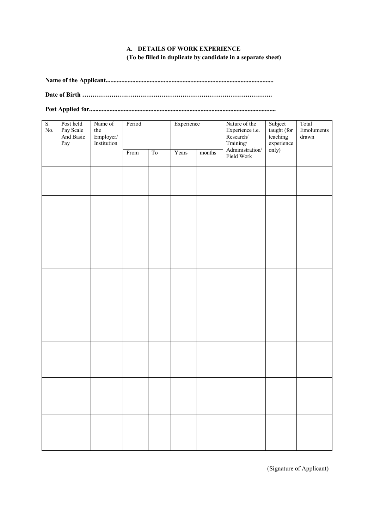### **A. DETAILS OF WORK EXPERIENCE (To be filled in duplicate by candidate in a separate sheet)**

**Name of the Applicant...........................................................................................................** 

**Date of Birth ……………………………………………………………………………….** 

**Post Applied for.......................................................................................................................** 

| S.<br>No. | Post held<br>Pay Scale<br>And Basic<br>Pay | Name of<br>the<br>Employer/<br>Institution | Period |                | Experience |        | Nature of the<br>Experience i.e.<br>Research/ | Subject<br>Total<br>taught (for<br>Emoluments<br>teaching<br>drawn<br>experience |  |
|-----------|--------------------------------------------|--------------------------------------------|--------|----------------|------------|--------|-----------------------------------------------|----------------------------------------------------------------------------------|--|
|           |                                            |                                            | From   | T <sub>0</sub> | Years      | months | Training/<br>Administration/<br>Field Work    | only)                                                                            |  |
|           |                                            |                                            |        |                |            |        |                                               |                                                                                  |  |
|           |                                            |                                            |        |                |            |        |                                               |                                                                                  |  |
|           |                                            |                                            |        |                |            |        |                                               |                                                                                  |  |
|           |                                            |                                            |        |                |            |        |                                               |                                                                                  |  |
|           |                                            |                                            |        |                |            |        |                                               |                                                                                  |  |
|           |                                            |                                            |        |                |            |        |                                               |                                                                                  |  |
|           |                                            |                                            |        |                |            |        |                                               |                                                                                  |  |
|           |                                            |                                            |        |                |            |        |                                               |                                                                                  |  |

(Signature of Applicant)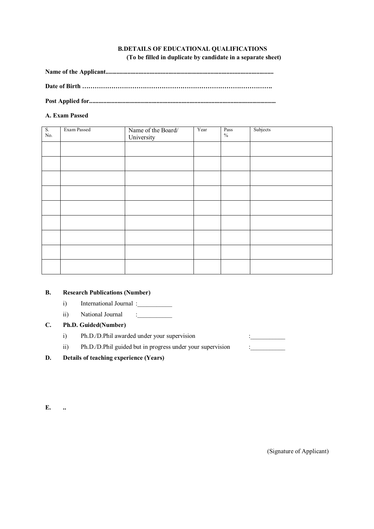### **B.DETAILS OF EDUCATIONAL QUALIFICATIONS (To be filled in duplicate by candidate in a separate sheet)**

**Name of the Applicant...........................................................................................................** 

**Date of Birth ……………………………………………………………………………….** 

**Post Applied for.......................................................................................................................** 

### **A. Exam Passed**

| $S_{\cdot}$<br>$\rm No.$ | Exam Passed | Name of the Board/<br>University | Year | Pass<br>$\%$ | Subjects |
|--------------------------|-------------|----------------------------------|------|--------------|----------|
|                          |             |                                  |      |              |          |
|                          |             |                                  |      |              |          |
|                          |             |                                  |      |              |          |
|                          |             |                                  |      |              |          |
|                          |             |                                  |      |              |          |
|                          |             |                                  |      |              |          |
|                          |             |                                  |      |              |          |
|                          |             |                                  |      |              |          |
|                          |             |                                  |      |              |          |

### **B. Research Publications (Number)**

- i) International Journal :
- ii) National Journal :\_\_\_\_\_\_\_\_\_\_\_

### **C. Ph.D. Guided(Number)**

- i) Ph.D./D.Phil awarded under your supervision :
- ii) Ph.D./D.Phil guided but in progress under your supervision :
- **D. Details of teaching experience (Years)**

**E. ..** 

(Signature of Applicant)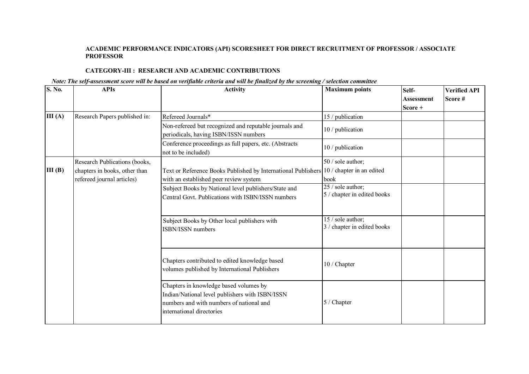### **ACADEMIC PERFORMANCE INDICATORS (API) SCORESHEET FOR DIRECT RECRUITMENT OF PROFESSOR / ASSOCIATE PROFESSOR**

### **CATEGORY-III : RESEARCH AND ACADEMIC CONTRIBUTIONS**

### *Note: The self-assessment score will be based on verifiable criteria and will be finalized by the screening / selection committee*

| S. No. | <b>APIs</b>                                                 | <b>Activity</b>                                                                                                                                                    | <b>Maximum</b> points                            | Self-                          | <b>Verified API</b> |
|--------|-------------------------------------------------------------|--------------------------------------------------------------------------------------------------------------------------------------------------------------------|--------------------------------------------------|--------------------------------|---------------------|
|        |                                                             |                                                                                                                                                                    |                                                  | <b>Assessment</b><br>$Score +$ | Score#              |
| III(A) | Research Papers published in:                               | Refereed Journals*                                                                                                                                                 | 15 / publication                                 |                                |                     |
|        |                                                             | Non-refereed but recognized and reputable journals and<br>periodicals, having ISBN/ISSN numbers                                                                    | 10 / publication                                 |                                |                     |
|        |                                                             | Conference proceedings as full papers, etc. (Abstracts<br>not to be included)                                                                                      | 10 / publication                                 |                                |                     |
|        | Research Publications (books,                               |                                                                                                                                                                    | 50 / sole author;                                |                                |                     |
| III(B) | chapters in books, other than<br>refereed journal articles) | Text or Reference Books Published by International Publishers<br>with an established peer review system                                                            | 10 / chapter in an edited<br>book                |                                |                     |
|        |                                                             | Subject Books by National level publishers/State and<br>Central Govt. Publications with ISBN/ISSN numbers                                                          | 25 / sole author;<br>5 / chapter in edited books |                                |                     |
|        |                                                             | Subject Books by Other local publishers with<br>ISBN/ISSN numbers                                                                                                  | 15 / sole author;<br>3 / chapter in edited books |                                |                     |
|        |                                                             | Chapters contributed to edited knowledge based<br>volumes published by International Publishers                                                                    | 10 / Chapter                                     |                                |                     |
|        |                                                             | Chapters in knowledge based volumes by<br>Indian/National level publishers with ISBN/ISSN<br>numbers and with numbers of national and<br>international directories | 5 / Chapter                                      |                                |                     |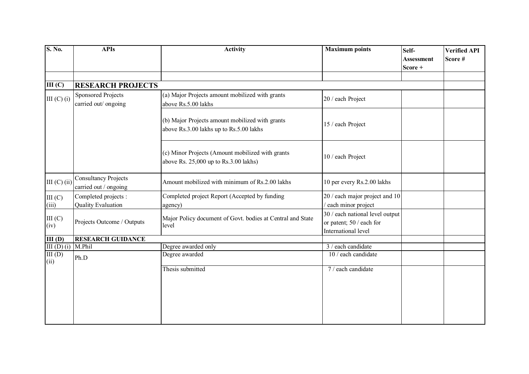| S. No.               | <b>APIs</b>                                          | <b>Activity</b>                                                                            | <b>Maximum points</b>                                                              | Self-<br><b>Assessment</b><br>Score + | <b>Verified API</b><br>Score# |
|----------------------|------------------------------------------------------|--------------------------------------------------------------------------------------------|------------------------------------------------------------------------------------|---------------------------------------|-------------------------------|
| III(C)               | <b>RESEARCH PROJECTS</b>                             |                                                                                            |                                                                                    |                                       |                               |
| III $(C)$ $(i)$      | Sponsored Projects<br>carried out/ ongoing           | (a) Major Projects amount mobilized with grants<br>above Rs.5.00 lakhs                     | 20 / each Project                                                                  |                                       |                               |
|                      |                                                      | (b) Major Projects amount mobilized with grants<br>above Rs.3.00 lakhs up to Rs.5.00 lakhs | 15 / each Project                                                                  |                                       |                               |
|                      |                                                      | (c) Minor Projects (Amount mobilized with grants<br>above Rs. 25,000 up to Rs.3.00 lakhs)  | 10 / each Project                                                                  |                                       |                               |
| III (C) (ii)         | <b>Consultancy Projects</b><br>carried out / ongoing | Amount mobilized with minimum of Rs.2.00 lakhs                                             | 10 per every Rs.2.00 lakhs                                                         |                                       |                               |
| III (C)<br>(iii)     | Completed projects :<br><b>Quality Evaluation</b>    | Completed project Report (Accepted by funding<br>agency)                                   | 20 / each major project and 10<br>/ each minor project                             |                                       |                               |
| III(C)<br>(iv)       | Projects Outcome / Outputs                           | Major Policy document of Govt. bodies at Central and State<br>level                        | 30 / each national level output<br>or patent; 50 / each for<br>International level |                                       |                               |
| III(D)               | <b>RESEARCH GUIDANCE</b>                             |                                                                                            |                                                                                    |                                       |                               |
| III (D) (i) $M.Phil$ |                                                      | Degree awarded only                                                                        | 3 / each candidate                                                                 |                                       |                               |
| III(D)<br>(ii)       | Ph.D                                                 | Degree awarded                                                                             | 10 / each candidate                                                                |                                       |                               |
|                      |                                                      | Thesis submitted                                                                           | 7 / each candidate                                                                 |                                       |                               |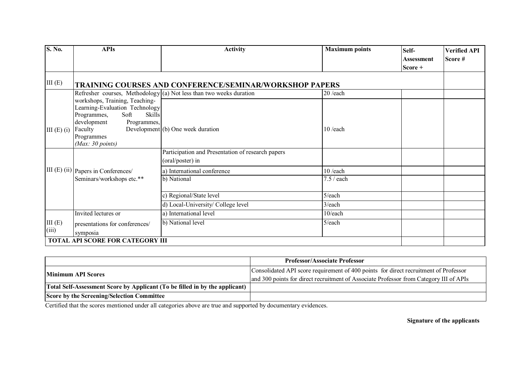| S. No.       | <b>APIs</b>                                                                                                                     | <b>Activity</b>                                                        | <b>Maximum points</b> | Self-              | <b>Verified API</b> |
|--------------|---------------------------------------------------------------------------------------------------------------------------------|------------------------------------------------------------------------|-----------------------|--------------------|---------------------|
|              |                                                                                                                                 |                                                                        |                       | <b>Assessment</b>  | Score#              |
|              |                                                                                                                                 |                                                                        |                       | $\textbf{Score} +$ |                     |
| III(E)       |                                                                                                                                 | <b>TRAINING COURSES AND CONFERENCE/SEMINAR/WORKSHOP PAPERS</b>         |                       |                    |                     |
|              |                                                                                                                                 | Refresher courses, Methodology $ (a)$ Not less than two weeks duration | $20$ /each            |                    |                     |
|              | workshops, Training, Teaching-<br>Learning-Evaluation Technology<br>Soft<br>Skills<br>Programmes,<br>development<br>Programmes, |                                                                        |                       |                    |                     |
| $III(E)$ (i) | Faculty<br>Programmes                                                                                                           | Development (b) One week duration                                      | $10$ /each            |                    |                     |
|              | (Max: 30 points)                                                                                                                |                                                                        |                       |                    |                     |
|              |                                                                                                                                 | Participation and Presentation of research papers                      |                       |                    |                     |
|              |                                                                                                                                 | (oral/poster) in                                                       |                       |                    |                     |
|              | III (E) (ii) Papers in Conferences/                                                                                             | a) International conference                                            | $10$ /each            |                    |                     |
|              | Seminars/workshops etc.**                                                                                                       | b) National                                                            | 7.5 / each            |                    |                     |
|              |                                                                                                                                 | c) Regional/State level                                                | 5/each                |                    |                     |
|              |                                                                                                                                 | d) Local-University/ College level                                     | $3$ /each             |                    |                     |
|              | Invited lectures or                                                                                                             | a) International level                                                 | 10/each               |                    |                     |
| III(E)       | presentations for conferences/                                                                                                  | b) National level                                                      | $5$ /each             |                    |                     |
| (iii)        | symposia                                                                                                                        |                                                                        |                       |                    |                     |
|              | <b>TOTAL API SCORE FOR CATEGORY III</b>                                                                                         |                                                                        |                       |                    |                     |

|                                                                             | <b>Professor/Associate Professor</b>                                                   |
|-----------------------------------------------------------------------------|----------------------------------------------------------------------------------------|
| <b>Minimum API Scores</b>                                                   | Consolidated API score requirement of 400 points for direct recruitment of Professor   |
|                                                                             | and 300 points for direct recruitment of Associate Professor from Category III of APIs |
| Total Self-Assessment Score by Applicant (To be filled in by the applicant) |                                                                                        |
| Score by the Screening/Selection Committee                                  |                                                                                        |

Certified that the scores mentioned under all categories above are true and supported by documentary evidences.

**Signature of the applicants**